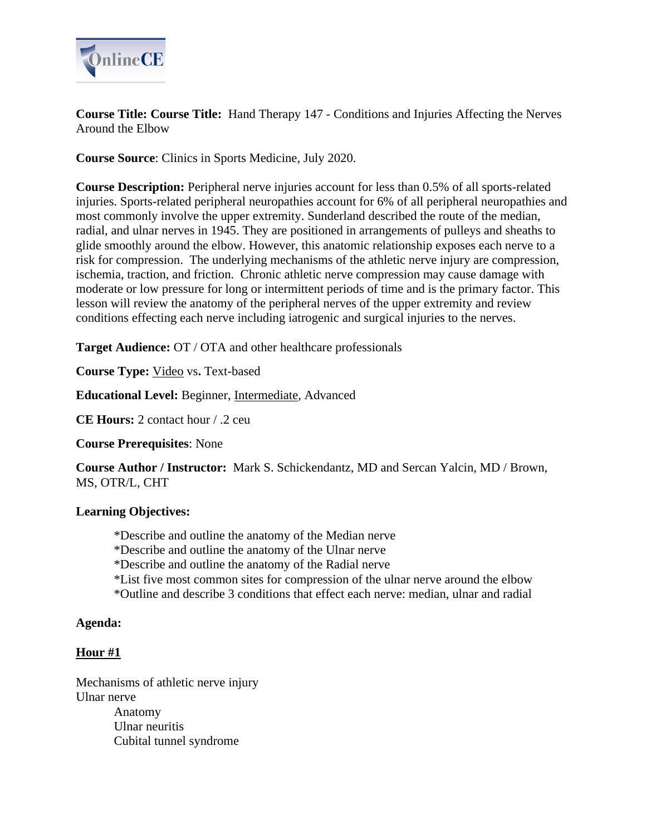

**Course Title: Course Title:** Hand Therapy 147 - Conditions and Injuries Affecting the Nerves Around the Elbow

**Course Source**: Clinics in Sports Medicine, July 2020.

**Course Description:** Peripheral nerve injuries account for less than 0.5% of all sports-related injuries. Sports-related peripheral neuropathies account for 6% of all peripheral neuropathies and most commonly involve the upper extremity. Sunderland described the route of the median, radial, and ulnar nerves in 1945. They are positioned in arrangements of pulleys and sheaths to glide smoothly around the elbow. However, this anatomic relationship exposes each nerve to a risk for compression. The underlying mechanisms of the athletic nerve injury are compression, ischemia, traction, and friction. Chronic athletic nerve compression may cause damage with moderate or low pressure for long or intermittent periods of time and is the primary factor. This lesson will review the anatomy of the peripheral nerves of the upper extremity and review conditions effecting each nerve including iatrogenic and surgical injuries to the nerves.

**Target Audience:** OT / OTA and other healthcare professionals

**Course Type:** Video vs**.** Text-based

**Educational Level:** Beginner, Intermediate, Advanced

**CE Hours:** 2 contact hour / .2 ceu

**Course Prerequisites**: None

**Course Author / Instructor:** Mark S. Schickendantz, MD and Sercan Yalcin, MD / Brown, MS, OTR/L, CHT

## **Learning Objectives:**

- \*Describe and outline the anatomy of the Median nerve
- \*Describe and outline the anatomy of the Ulnar nerve
- \*Describe and outline the anatomy of the Radial nerve
- \*List five most common sites for compression of the ulnar nerve around the elbow
- \*Outline and describe 3 conditions that effect each nerve: median, ulnar and radial

### **Agenda:**

## **Hour #1**

Mechanisms of athletic nerve injury Ulnar nerve Anatomy Ulnar neuritis

Cubital tunnel syndrome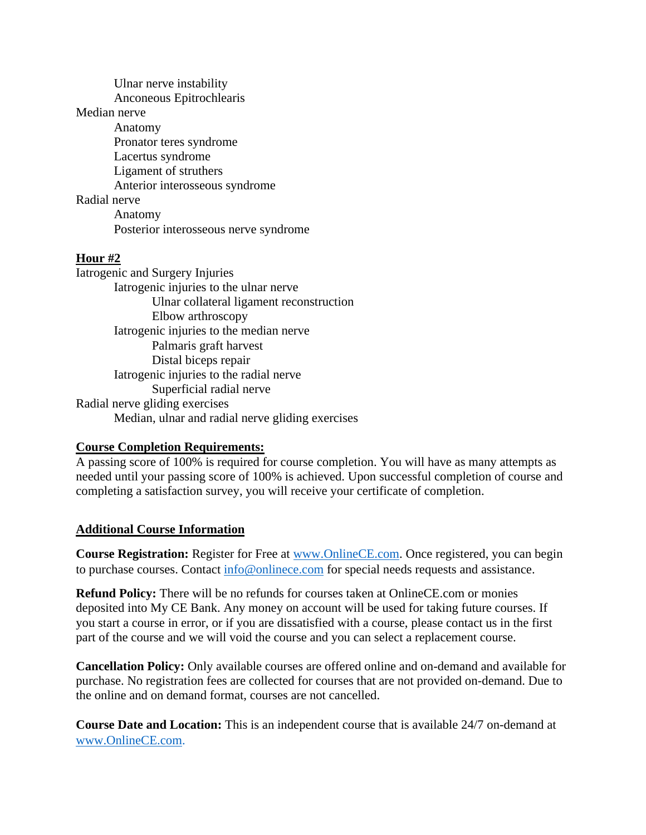Ulnar nerve instability Anconeous Epitrochlearis Median nerve Anatomy Pronator teres syndrome Lacertus syndrome Ligament of struthers Anterior interosseous syndrome Radial nerve Anatomy Posterior interosseous nerve syndrome

# **Hour #2**

Iatrogenic and Surgery Injuries Iatrogenic injuries to the ulnar nerve Ulnar collateral ligament reconstruction Elbow arthroscopy Iatrogenic injuries to the median nerve Palmaris graft harvest Distal biceps repair Iatrogenic injuries to the radial nerve Superficial radial nerve Radial nerve gliding exercises Median, ulnar and radial nerve gliding exercises

## **Course Completion Requirements:**

A passing score of 100% is required for course completion. You will have as many attempts as needed until your passing score of 100% is achieved. Upon successful completion of course and completing a satisfaction survey, you will receive your certificate of completion.

## **Additional Course Information**

**Course Registration:** Register for Free at **www.OnlineCE.com.** Once registered, you can begin to purchase courses. Contact [info@onlinece.com](mailto:info@onlinece.com) for special needs requests and assistance.

**Refund Policy:** There will be no refunds for courses taken at OnlineCE.com or monies deposited into My CE Bank. Any money on account will be used for taking future courses. If you start a course in error, or if you are dissatisfied with a course, please contact us in the first part of the course and we will void the course and you can select a replacement course.

**Cancellation Policy:** Only available courses are offered online and on-demand and available for purchase. No registration fees are collected for courses that are not provided on-demand. Due to the online and on demand format, courses are not cancelled.

**Course Date and Location:** This is an independent course that is available 24/7 on-demand at [www.OnlineCE.com.](http://www.onlinece.com/)